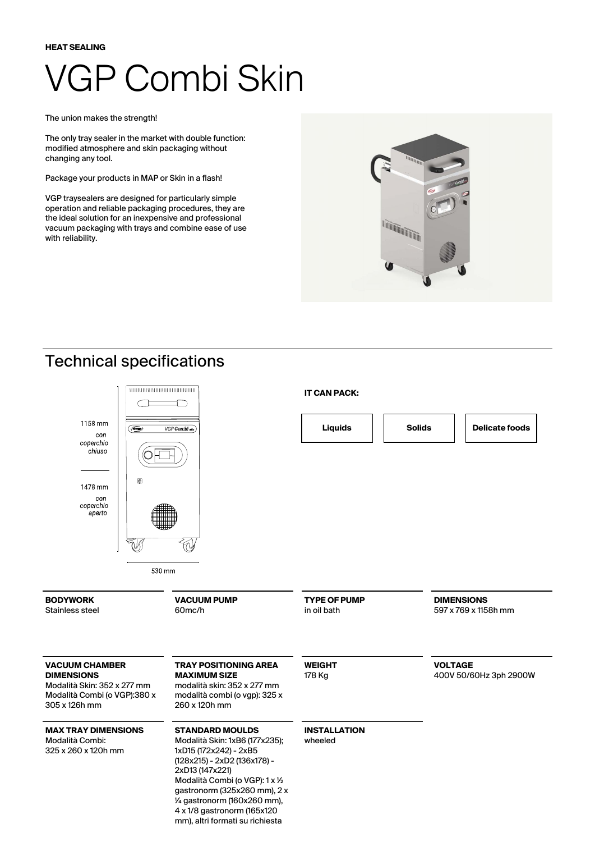#### **HEAT SEALING**

# VGP Combi Skin

*The union makes the strength!*

The only tray sealer in the market with double function: modified atmosphere and skin packaging without changing any tool.

**Package your products in MAP or Skin in a flash!**

VGP traysealers are designed for particularly simple operation and reliable packaging procedures, they are the ideal solution for an inexpensive and professional vacuum packaging with trays and combine ease of use with reliability.



### Technical specifications